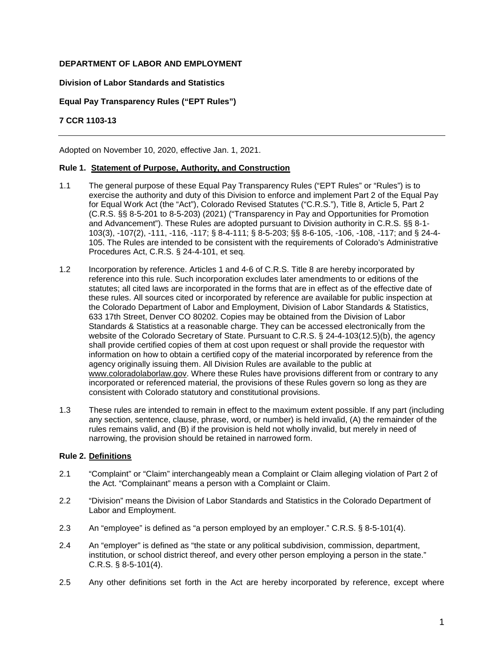# **DEPARTMENT OF LABOR AND EMPLOYMENT**

### **Division of Labor Standards and Statistics**

## **Equal Pay Transparency Rules ("EPT Rules")**

## **7 CCR 1103-13**

Adopted on November 10, 2020, effective Jan. 1, 2021.

### **Rule 1. Statement of Purpose, Authority, and Construction**

- 1.1 The general purpose of these Equal Pay Transparency Rules ("EPT Rules" or "Rules") is to exercise the authority and duty of this Division to enforce and implement Part 2 of the Equal Pay for Equal Work Act (the "Act"), Colorado Revised Statutes ("C.R.S."), Title 8, Article 5, Part 2 (C.R.S. §§ 8-5-201 to 8-5-203) (2021) ("Transparency in Pay and Opportunities for Promotion and Advancement"). These Rules are adopted pursuant to Division authority in C.R.S. §§ 8-1- 103(3), -107(2), -111, -116, -117; § 8-4-111; § 8-5-203; §§ 8-6-105, -106, -108, -117; and § 24-4- 105. The Rules are intended to be consistent with the requirements of Colorado's Administrative Procedures Act, C.R.S. § 24-4-101, et seq.
- 1.2 Incorporation by reference. Articles 1 and 4-6 of C.R.S. Title 8 are hereby incorporated by reference into this rule. Such incorporation excludes later amendments to or editions of the statutes; all cited laws are incorporated in the forms that are in effect as of the effective date of these rules. All sources cited or incorporated by reference are available for public inspection at the Colorado Department of Labor and Employment, Division of Labor Standards & Statistics, 633 17th Street, Denver CO 80202. Copies may be obtained from the Division of Labor Standards & Statistics at a reasonable charge. They can be accessed electronically from the website of the Colorado Secretary of State. Pursuant to C.R.S. § 24-4-103(12.5)(b), the agency shall provide certified copies of them at cost upon request or shall provide the requestor with information on how to obtain a certified copy of the material incorporated by reference from the agency originally issuing them. All Division Rules are available to the public at [www.coloradolaborlaw.gov.](http://www.coloradolaborlaw.gov/) Where these Rules have provisions different from or contrary to any incorporated or referenced material, the provisions of these Rules govern so long as they are consistent with Colorado statutory and constitutional provisions.
- 1.3 These rules are intended to remain in effect to the maximum extent possible. If any part (including any section, sentence, clause, phrase, word, or number) is held invalid, (A) the remainder of the rules remains valid, and (B) if the provision is held not wholly invalid, but merely in need of narrowing, the provision should be retained in narrowed form.

#### **Rule 2. Definitions**

- 2.1 "Complaint" or "Claim" interchangeably mean a Complaint or Claim alleging violation of Part 2 of the Act. "Complainant" means a person with a Complaint or Claim.
- 2.2 "Division" means the Division of Labor Standards and Statistics in the Colorado Department of Labor and Employment.
- 2.3 An "employee" is defined as "a person employed by an employer." C.R.S. § 8-5-101(4).
- 2.4 An "employer" is defined as "the state or any political subdivision, commission, department, institution, or school district thereof, and every other person employing a person in the state." C.R.S. § 8-5-101(4).
- 2.5 Any other definitions set forth in the Act are hereby incorporated by reference, except where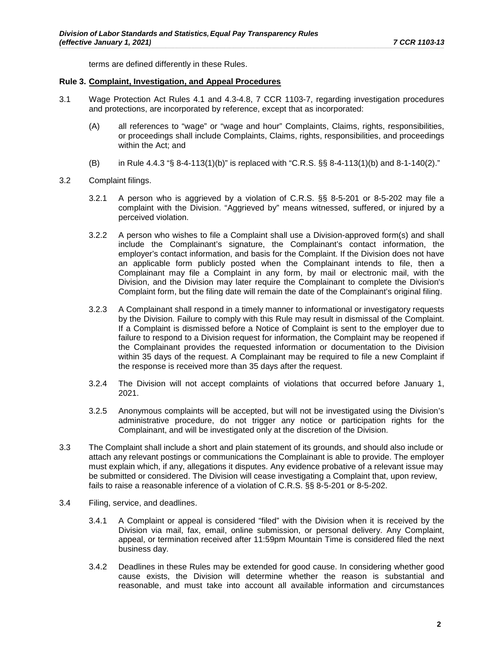terms are defined differently in these Rules.

### **Rule 3. Complaint, Investigation, and Appeal Procedures**

- 3.1 Wage Protection Act Rules 4.1 and 4.3-4.8, 7 CCR 1103-7, regarding investigation procedures and protections, are incorporated by reference, except that as incorporated:
	- (A) all references to "wage" or "wage and hour" Complaints, Claims, rights, responsibilities, or proceedings shall include Complaints, Claims, rights, responsibilities, and proceedings within the Act; and
	- (B) in Rule 4.4.3 "§ 8-4-113(1)(b)" is replaced with "C.R.S. §§ 8-4-113(1)(b) and 8-1-140(2)."
- 3.2 Complaint filings.
	- 3.2.1 A person who is aggrieved by a violation of C.R.S. §§ 8-5-201 or 8-5-202 may file a complaint with the Division. "Aggrieved by" means witnessed, suffered, or injured by a perceived violation.
	- 3.2.2 A person who wishes to file a Complaint shall use a Division-approved form(s) and shall include the Complainant's signature, the Complainant's contact information, the employer's contact information, and basis for the Complaint. If the Division does not have an applicable form publicly posted when the Complainant intends to file, then a Complainant may file a Complaint in any form, by mail or electronic mail, with the Division, and the Division may later require the Complainant to complete the Division's Complaint form, but the filing date will remain the date of the Complainant's original filing.
	- 3.2.3 A Complainant shall respond in a timely manner to informational or investigatory requests by the Division. Failure to comply with this Rule may result in dismissal of the Complaint. If a Complaint is dismissed before a Notice of Complaint is sent to the employer due to failure to respond to a Division request for information, the Complaint may be reopened if the Complainant provides the requested information or documentation to the Division within 35 days of the request. A Complainant may be required to file a new Complaint if the response is received more than 35 days after the request.
	- 3.2.4 The Division will not accept complaints of violations that occurred before January 1, 2021.
	- 3.2.5 Anonymous complaints will be accepted, but will not be investigated using the Division's administrative procedure, do not trigger any notice or participation rights for the Complainant, and will be investigated only at the discretion of the Division.
- 3.3 The Complaint shall include a short and plain statement of its grounds, and should also include or attach any relevant postings or communications the Complainant is able to provide. The employer must explain which, if any, allegations it disputes. Any evidence probative of a relevant issue may be submitted or considered. The Division will cease investigating a Complaint that, upon review, fails to raise a reasonable inference of a violation of C.R.S. §§ 8-5-201 or 8-5-202.
- 3.4 Filing, service, and deadlines.
	- 3.4.1 A Complaint or appeal is considered "filed" with the Division when it is received by the Division via mail, fax, email, online submission, or personal delivery. Any Complaint, appeal, or termination received after 11:59pm Mountain Time is considered filed the next business day.
	- 3.4.2 Deadlines in these Rules may be extended for good cause. In considering whether good cause exists, the Division will determine whether the reason is substantial and reasonable, and must take into account all available information and circumstances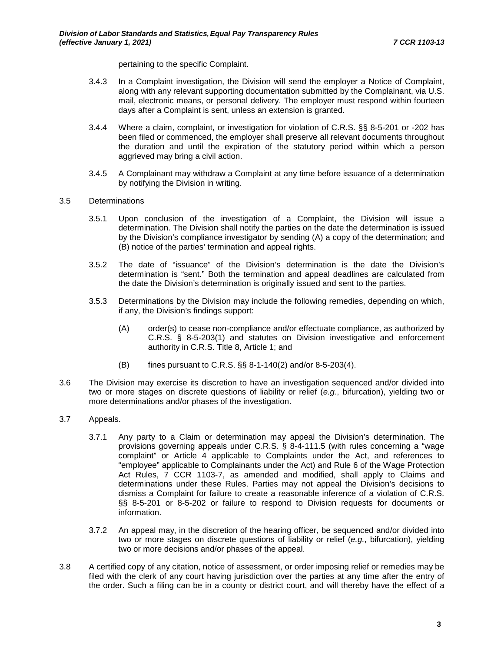pertaining to the specific Complaint.

- 3.4.3 In a Complaint investigation, the Division will send the employer a Notice of Complaint, along with any relevant supporting documentation submitted by the Complainant, via U.S. mail, electronic means, or personal delivery. The employer must respond within fourteen days after a Complaint is sent, unless an extension is granted.
- 3.4.4 Where a claim, complaint, or investigation for violation of C.R.S. §§ 8-5-201 or -202 has been filed or commenced, the employer shall preserve all relevant documents throughout the duration and until the expiration of the statutory period within which a person aggrieved may bring a civil action.
- 3.4.5 A Complainant may withdraw a Complaint at any time before issuance of a determination by notifying the Division in writing.

#### 3.5 Determinations

- 3.5.1 Upon conclusion of the investigation of a Complaint, the Division will issue a determination. The Division shall notify the parties on the date the determination is issued by the Division's compliance investigator by sending (A) a copy of the determination; and (B) notice of the parties' termination and appeal rights.
- 3.5.2 The date of "issuance" of the Division's determination is the date the Division's determination is "sent." Both the termination and appeal deadlines are calculated from the date the Division's determination is originally issued and sent to the parties.
- 3.5.3 Determinations by the Division may include the following remedies, depending on which, if any, the Division's findings support:
	- (A) order(s) to cease non-compliance and/or effectuate compliance, as authorized by C.R.S. § 8-5-203(1) and statutes on Division investigative and enforcement authority in C.R.S. Title 8, Article 1; and
	- (B) fines pursuant to C.R.S. §§ 8-1-140(2) and/or 8-5-203(4).
- 3.6 The Division may exercise its discretion to have an investigation sequenced and/or divided into two or more stages on discrete questions of liability or relief (*e.g.*, bifurcation), yielding two or more determinations and/or phases of the investigation.
- 3.7 Appeals.
	- 3.7.1 Any party to a Claim or determination may appeal the Division's determination. The provisions governing appeals under C.R.S. § 8-4-111.5 (with rules concerning a "wage complaint" or Article 4 applicable to Complaints under the Act, and references to "employee" applicable to Complainants under the Act) and Rule 6 of the Wage Protection Act Rules, 7 CCR 1103-7, as amended and modified, shall apply to Claims and determinations under these Rules. Parties may not appeal the Division's decisions to dismiss a Complaint for failure to create a reasonable inference of a violation of C.R.S. §§ 8-5-201 or 8-5-202 or failure to respond to Division requests for documents or information.
	- 3.7.2 An appeal may, in the discretion of the hearing officer, be sequenced and/or divided into two or more stages on discrete questions of liability or relief (*e.g.*, bifurcation), yielding two or more decisions and/or phases of the appeal.
- 3.8 A certified copy of any citation, notice of assessment, or order imposing relief or remedies may be filed with the clerk of any court having jurisdiction over the parties at any time after the entry of the order. Such a filing can be in a county or district court, and will thereby have the effect of a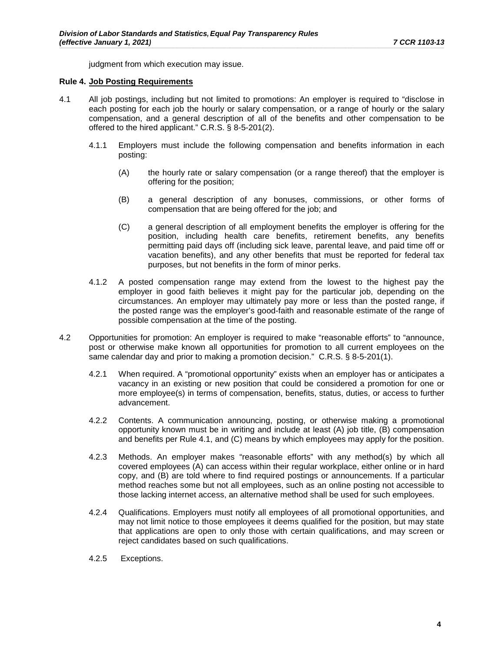judgment from which execution may issue.

#### **Rule 4. Job Posting Requirements**

- 4.1 All job postings, including but not limited to promotions: An employer is required to "disclose in each posting for each job the hourly or salary compensation, or a range of hourly or the salary compensation, and a general description of all of the benefits and other compensation to be offered to the hired applicant." C.R.S. § 8-5-201(2).
	- 4.1.1 Employers must include the following compensation and benefits information in each posting:
		- (A) the hourly rate or salary compensation (or a range thereof) that the employer is offering for the position;
		- (B) a general description of any bonuses, commissions, or other forms of compensation that are being offered for the job; and
		- (C) a general description of all employment benefits the employer is offering for the position, including health care benefits, retirement benefits, any benefits permitting paid days off (including sick leave, parental leave, and paid time off or vacation benefits), and any other benefits that must be reported for federal tax purposes, but not benefits in the form of minor perks.
	- 4.1.2 A posted compensation range may extend from the lowest to the highest pay the employer in good faith believes it might pay for the particular job, depending on the circumstances. An employer may ultimately pay more or less than the posted range, if the posted range was the employer's good-faith and reasonable estimate of the range of possible compensation at the time of the posting.
- 4.2 Opportunities for promotion: An employer is required to make "reasonable efforts" to "announce, post or otherwise make known all opportunities for promotion to all current employees on the same calendar day and prior to making a promotion decision." C.R.S. § 8-5-201(1).
	- 4.2.1 When required. A "promotional opportunity" exists when an employer has or anticipates a vacancy in an existing or new position that could be considered a promotion for one or more employee(s) in terms of compensation, benefits, status, duties, or access to further advancement.
	- 4.2.2 Contents. A communication announcing, posting, or otherwise making a promotional opportunity known must be in writing and include at least (A) job title, (B) compensation and benefits per Rule 4.1, and (C) means by which employees may apply for the position.
	- 4.2.3 Methods. An employer makes "reasonable efforts" with any method(s) by which all covered employees (A) can access within their regular workplace, either online or in hard copy, and (B) are told where to find required postings or announcements. If a particular method reaches some but not all employees, such as an online posting not accessible to those lacking internet access, an alternative method shall be used for such employees.
	- 4.2.4 Qualifications. Employers must notify all employees of all promotional opportunities, and may not limit notice to those employees it deems qualified for the position, but may state that applications are open to only those with certain qualifications, and may screen or reject candidates based on such qualifications.
	- 4.2.5 Exceptions.